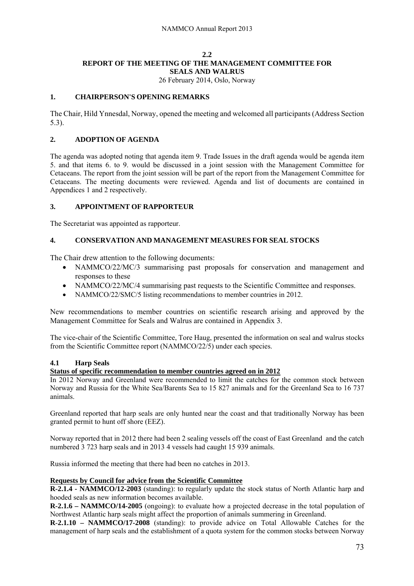# **2.2 REPORT OF THE MEETING OF THE MANAGEMENT COMMITTEE FOR SEALS AND WALRUS**

26 February 2014, Oslo, Norway

# **1. CHAIRPERSON'S OPENING REMARKS**

The Chair, Hild Ynnesdal, Norway, opened the meeting and welcomed all participants (Address Section 5.3).

# **2. ADOPTION OF AGENDA**

The agenda was adopted noting that agenda item 9. Trade Issues in the draft agenda would be agenda item 5. and that items 6. to 9. would be discussed in a joint session with the Management Committee for Cetaceans. The report from the joint session will be part of the report from the Management Committee for Cetaceans. The meeting documents were reviewed. Agenda and list of documents are contained in Appendices 1 and 2 respectively.

# **3. APPOINTMENT OF RAPPORTEUR**

The Secretariat was appointed as rapporteur.

# **4. CONSERVATION AND MANAGEMENT MEASURES FOR SEAL STOCKS**

The Chair drew attention to the following documents:

- NAMMCO/22/MC/3 summarising past proposals for conservation and management and responses to these
- NAMMCO/22/MC/4 summarising past requests to the Scientific Committee and responses.
- NAMMCO/22/SMC/5 listing recommendations to member countries in 2012.

New recommendations to member countries on scientific research arising and approved by the Management Committee for Seals and Walrus are contained in Appendix 3.

The vice-chair of the Scientific Committee, Tore Haug, presented the information on seal and walrus stocks from the Scientific Committee report (NAMMCO/22/5) under each species.

### **4.1 Harp Seals**

### **Status of specific recommendation to member countries agreed on in 2012**

In 2012 Norway and Greenland were recommended to limit the catches for the common stock between Norway and Russia for the White Sea/Barents Sea to 15 827 animals and for the Greenland Sea to 16 737 animals.

Greenland reported that harp seals are only hunted near the coast and that traditionally Norway has been granted permit to hunt off shore (EEZ).

Norway reported that in 2012 there had been 2 sealing vessels off the coast of East Greenland and the catch numbered 3 723 harp seals and in 2013 4 vessels had caught 15 939 animals.

Russia informed the meeting that there had been no catches in 2013.

### **Requests by Council for advice from the Scientific Committee**

**R-2.1.4 - NAMMCO/12-2003** (standing): to regularly update the stock status of North Atlantic harp and hooded seals as new information becomes available.

**R-2.1.6 – NAMMCO/14-2005** (ongoing): to evaluate how a projected decrease in the total population of Northwest Atlantic harp seals might affect the proportion of animals summering in Greenland.

**R**-**2.1.10 – NAMMCO/17-2008** (standing): to provide advice on Total Allowable Catches for the management of harp seals and the establishment of a quota system for the common stocks between Norway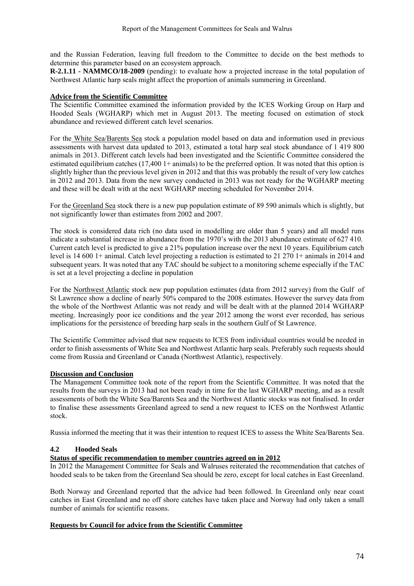and the Russian Federation, leaving full freedom to the Committee to decide on the best methods to determine this parameter based on an ecosystem approach.

**R-2.1.11 - NAMMCO/18-2009** (pending): to evaluate how a projected increase in the total population of Northwest Atlantic harp seals might affect the proportion of animals summering in Greenland.

#### **Advice from the Scientific Committee**

The Scientific Committee examined the information provided by the ICES Working Group on Harp and Hooded Seals (WGHARP) which met in August 2013. The meeting focused on estimation of stock abundance and reviewed different catch level scenarios.

For the White Sea/Barents Sea stock a population model based on data and information used in previous assessments with harvest data updated to 2013, estimated a total harp seal stock abundance of 1 419 800 animals in 2013. Different catch levels had been investigated and the Scientific Committee considered the estimated equilibrium catches (17,400 1+ animals) to be the preferred option. It was noted that this option is slightly higher than the previous level given in 2012 and that this was probably the result of very low catches in 2012 and 2013. Data from the new survey conducted in 2013 was not ready for the WGHARP meeting and these will be dealt with at the next WGHARP meeting scheduled for November 2014.

For the Greenland Sea stock there is a new pup population estimate of 89 590 animals which is slightly, but not significantly lower than estimates from 2002 and 2007.

The stock is considered data rich (no data used in modelling are older than 5 years) and all model runs indicate a substantial increase in abundance from the 1970's with the 2013 abundance estimate of 627 410. Current catch level is predicted to give a 21% population increase over the next 10 years. Equilibrium catch level is 14 600 1+ animal. Catch level projecting a reduction is estimated to 21 270 1+ animals in 2014 and subsequent years. It was noted that any TAC should be subject to a monitoring scheme especially if the TAC is set at a level projecting a decline in population

For the Northwest Atlantic stock new pup population estimates (data from 2012 survey) from the Gulf of St Lawrence show a decline of nearly 50% compared to the 2008 estimates. However the survey data from the whole of the Northwest Atlantic was not ready and will be dealt with at the planned 2014 WGHARP meeting. Increasingly poor ice conditions and the year 2012 among the worst ever recorded, has serious implications for the persistence of breeding harp seals in the southern Gulf of St Lawrence.

The Scientific Committee advised that new requests to ICES from individual countries would be needed in order to finish assessments of White Sea and Northwest Atlantic harp seals. Preferably such requests should come from Russia and Greenland or Canada (Northwest Atlantic), respectively.

### **Discussion and Conclusion**

The Management Committee took note of the report from the Scientific Committee. It was noted that the results from the surveys in 2013 had not been ready in time for the last WGHARP meeting, and as a result assessments of both the White Sea/Barents Sea and the Northwest Atlantic stocks was not finalised. In order to finalise these assessments Greenland agreed to send a new request to ICES on the Northwest Atlantic stock.

Russia informed the meeting that it was their intention to request ICES to assess the White Sea/Barents Sea.

### **4.2 Hooded Seals**

### **Status of specific recommendation to member countries agreed on in 2012**

In 2012 the Management Committee for Seals and Walruses reiterated the recommendation that catches of hooded seals to be taken from the Greenland Sea should be zero, except for local catches in East Greenland.

Both Norway and Greenland reported that the advice had been followed. In Greenland only near coast catches in East Greenland and no off shore catches have taken place and Norway had only taken a small number of animals for scientific reasons.

### **Requests by Council for advice from the Scientific Committee**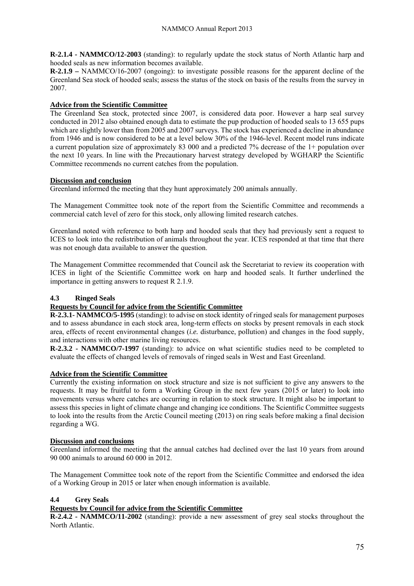**R-2.1.4 - NAMMCO/12-2003** (standing): to regularly update the stock status of North Atlantic harp and hooded seals as new information becomes available.

**R-2.1.9 –** NAMMCO/16-2007 (ongoing): to investigate possible reasons for the apparent decline of the Greenland Sea stock of hooded seals; assess the status of the stock on basis of the results from the survey in 2007.

# **Advice from the Scientific Committee**

The Greenland Sea stock, protected since 2007, is considered data poor. However a harp seal survey conducted in 2012 also obtained enough data to estimate the pup production of hooded seals to 13 655 pups which are slightly lower than from 2005 and 2007 surveys. The stock has experienced a decline in abundance from 1946 and is now considered to be at a level below 30% of the 1946-level. Recent model runs indicate a current population size of approximately 83 000 and a predicted 7% decrease of the 1+ population over the next 10 years. In line with the Precautionary harvest strategy developed by WGHARP the Scientific Committee recommends no current catches from the population.

# **Discussion and conclusion**

Greenland informed the meeting that they hunt approximately 200 animals annually.

The Management Committee took note of the report from the Scientific Committee and recommends a commercial catch level of zero for this stock, only allowing limited research catches.

Greenland noted with reference to both harp and hooded seals that they had previously sent a request to ICES to look into the redistribution of animals throughout the year. ICES responded at that time that there was not enough data available to answer the question.

The Management Committee recommended that Council ask the Secretariat to review its cooperation with ICES in light of the Scientific Committee work on harp and hooded seals. It further underlined the importance in getting answers to request R 2.1.9.

### **4.3 Ringed Seals**

# **Requests by Council for advice from the Scientific Committee**

**R-2.3.1- NAMMCO/5-1995** (standing): to advise on stock identity of ringed seals for management purposes and to assess abundance in each stock area, long-term effects on stocks by present removals in each stock area, effects of recent environmental changes (*i.e.* disturbance, pollution) and changes in the food supply, and interactions with other marine living resources.

**R-2.3.2 - NAMMCO/7-1997** (standing): to advice on what scientific studies need to be completed to evaluate the effects of changed levels of removals of ringed seals in West and East Greenland.

### **Advice from the Scientific Committee**

Currently the existing information on stock structure and size is not sufficient to give any answers to the requests. It may be fruitful to form a Working Group in the next few years (2015 or later) to look into movements versus where catches are occurring in relation to stock structure. It might also be important to assess this species in light of climate change and changing ice conditions. The Scientific Committee suggests to look into the results from the Arctic Council meeting (2013) on ring seals before making a final decision regarding a WG.

### **Discussion and conclusions**

Greenland informed the meeting that the annual catches had declined over the last 10 years from around 90 000 animals to around 60 000 in 2012.

The Management Committee took note of the report from the Scientific Committee and endorsed the idea of a Working Group in 2015 or later when enough information is available.

### **4.4 Grey Seals**

# **Requests by Council for advice from the Scientific Committee**

**R-2.4.2 - NAMMCO/11-2002** (standing): provide a new assessment of grey seal stocks throughout the North Atlantic.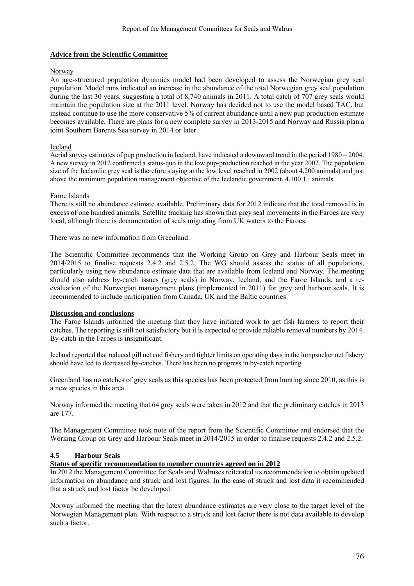#### **Advice from the Scientific Committee**

#### Norway

An age-structured population dynamics model had been developed to assess the Norwegian grey seal population. Model runs indicated an increase in the abundance of the total Norwegian grey seal population during the last 30 years, suggesting a total of 8,740 animals in 2011. A total catch of 707 grey seals would maintain the population size at the 2011 level. Norway has decided not to use the model based TAC, but instead continue to use the more conservative 5% of current abundance until a new pup production estimate becomes available. There are plans for a new complete survey in 2013-2015 and Norway and Russia plan a joint Southern Barents Sea survey in 2014 or later.

#### Iceland

Aerial survey estimates of pup production in Iceland, have indicated a downward trend in the period 1980 – 2004. A new survey in 2012 confirmed a status-quo in the low pup-production reached in the year 2002. The population size of the Icelandic grey seal is therefore staying at the low level reached in 2002 (about 4,200 animals) and just above the minimum population management objective of the Icelandic government, 4,100 1+ animals.

#### Faroe Islands

There is still no abundance estimate available. Preliminary data for 2012 indicate that the total removal is in excess of one hundred animals. Satellite tracking has shown that grey seal movements in the Faroes are very local, although there is documentation of seals migrating from UK waters to the Faroes.

There was no new information from Greenland.

The Scientific Committee recommends that the Working Group on Grey and Harbour Seals meet in 2014/2015 to finalise requests 2.4.2 and 2.5.2. The WG should assess the status of all populations, particularly using new abundance estimate data that are available from Iceland and Norway. The meeting should also address by-catch issues (grey seals) in Norway, Iceland, and the Faroe Islands, and a reevaluation of the Norwegian management plans (implemented in 2011) for grey and harbour seals. It is recommended to include participation from Canada, UK and the Baltic countries.

### **Discussion and conclusions**

The Faroe Islands informed the meeting that they have initiated work to get fish farmers to report their catches. The reporting is still not satisfactory but it is expected to provide reliable removal numbers by 2014. By-catch in the Faroes is insignificant.

Iceland reported that reduced gill net cod fishery and tighter limits on operating days in the lumpsucker net fishery should have led to decreased by-catches. There has been no progress in by-catch reporting.

Greenland has no catches of grey seals as this species has been protected from hunting since 2010, as this is a new species in this area.

Norway informed the meeting that 64 grey seals were taken in 2012 and that the preliminary catches in 2013 are 177.

The Management Committee took note of the report from the Scientific Committee and endorsed that the Working Group on Grey and Harbour Seals meet in 2014/2015 in order to finalise requests 2.4.2 and 2.5.2.

### **4.5 Harbour Seals**

#### **Status of specific recommendation to member countries agreed on in 2012**

In 2012 the Management Committee for Seals and Walruses reiterated its recommendation to obtain updated information on abundance and struck and lost figures. In the case of struck and lost data it recommended that a struck and lost factor be developed.

Norway informed the meeting that the latest abundance estimates are very close to the target level of the Norwegian Management plan. With respect to a struck and lost factor there is not data available to develop such a factor.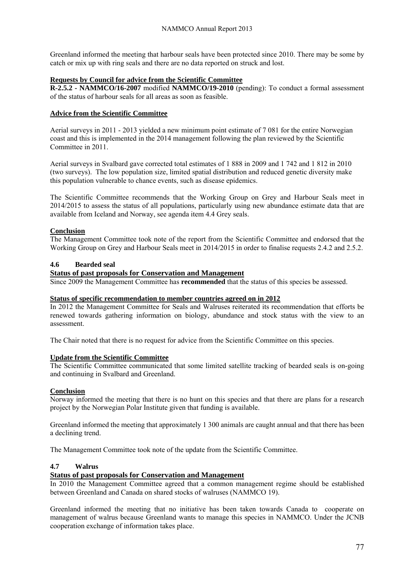Greenland informed the meeting that harbour seals have been protected since 2010. There may be some by catch or mix up with ring seals and there are no data reported on struck and lost.

### **Requests by Council for advice from the Scientific Committee**

**R-2.5.2 - NAMMCO/16-2007** modified **NAMMCO/19-2010** (pending): To conduct a formal assessment of the status of harbour seals for all areas as soon as feasible.

#### **Advice from the Scientific Committee**

Aerial surveys in 2011 - 2013 yielded a new minimum point estimate of 7 081 for the entire Norwegian coast and this is implemented in the 2014 management following the plan reviewed by the Scientific Committee in 2011.

Aerial surveys in Svalbard gave corrected total estimates of 1 888 in 2009 and 1 742 and 1 812 in 2010 (two surveys). The low population size, limited spatial distribution and reduced genetic diversity make this population vulnerable to chance events, such as disease epidemics.

The Scientific Committee recommends that the Working Group on Grey and Harbour Seals meet in 2014/2015 to assess the status of all populations, particularly using new abundance estimate data that are available from Iceland and Norway, see agenda item 4.4 Grey seals.

### **Conclusion**

The Management Committee took note of the report from the Scientific Committee and endorsed that the Working Group on Grey and Harbour Seals meet in 2014/2015 in order to finalise requests 2.4.2 and 2.5.2.

#### **4.6 Bearded seal**

#### **Status of past proposals for Conservation and Management**

Since 2009 the Management Committee has **recommended** that the status of this species be assessed.

#### **Status of specific recommendation to member countries agreed on in 2012**

In 2012 the Management Committee for Seals and Walruses reiterated its recommendation that efforts be renewed towards gathering information on biology, abundance and stock status with the view to an assessment.

The Chair noted that there is no request for advice from the Scientific Committee on this species.

### **Update from the Scientific Committee**

The Scientific Committee communicated that some limited satellite tracking of bearded seals is on-going and continuing in Svalbard and Greenland.

#### **Conclusion**

Norway informed the meeting that there is no hunt on this species and that there are plans for a research project by the Norwegian Polar Institute given that funding is available.

Greenland informed the meeting that approximately 1 300 animals are caught annual and that there has been a declining trend.

The Management Committee took note of the update from the Scientific Committee.

#### **4.7 Walrus**

### **Status of past proposals for Conservation and Management**

In 2010 the Management Committee agreed that a common management regime should be established between Greenland and Canada on shared stocks of walruses (NAMMCO 19).

Greenland informed the meeting that no initiative has been taken towards Canada to cooperate on management of walrus because Greenland wants to manage this species in NAMMCO. Under the JCNB cooperation exchange of information takes place.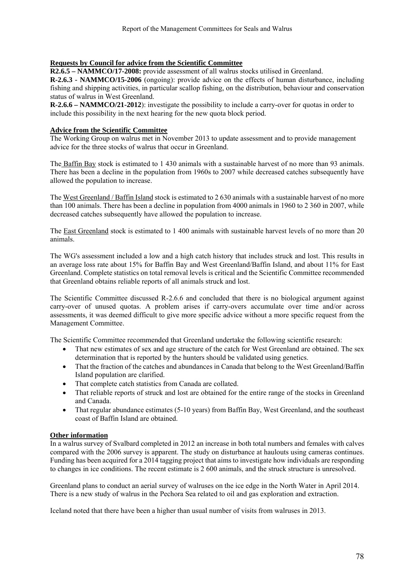### **Requests by Council for advice from the Scientific Committee**

**R2.6.5 – NAMMCO/17-2008:** provide assessment of all walrus stocks utilised in Greenland.

**R-2.6.3 - NAMMCO/15-2006** (ongoing): provide advice on the effects of human disturbance, including fishing and shipping activities, in particular scallop fishing, on the distribution, behaviour and conservation status of walrus in West Greenland.

**R-2.6.6 – NAMMCO/21-2012**): investigate the possibility to include a carry-over for quotas in order to include this possibility in the next hearing for the new quota block period.

#### **Advice from the Scientific Committee**

The Working Group on walrus met in November 2013 to update assessment and to provide management advice for the three stocks of walrus that occur in Greenland.

The Baffin Bay stock is estimated to 1 430 animals with a sustainable harvest of no more than 93 animals. There has been a decline in the population from 1960s to 2007 while decreased catches subsequently have allowed the population to increase.

The West Greenland / Baffin Island stock is estimated to 2 630 animals with a sustainable harvest of no more than 100 animals. There has been a decline in population from 4000 animals in 1960 to 2 360 in 2007, while decreased catches subsequently have allowed the population to increase.

The East Greenland stock is estimated to 1 400 animals with sustainable harvest levels of no more than 20 animals.

The WG's assessment included a low and a high catch history that includes struck and lost. This results in an average loss rate about 15% for Baffin Bay and West Greenland/Baffin Island, and about 11% for East Greenland. Complete statistics on total removal levels is critical and the Scientific Committee recommended that Greenland obtains reliable reports of all animals struck and lost.

The Scientific Committee discussed R-2.6.6 and concluded that there is no biological argument against carry-over of unused quotas. A problem arises if carry-overs accumulate over time and/or across assessments, it was deemed difficult to give more specific advice without a more specific request from the Management Committee.

The Scientific Committee recommended that Greenland undertake the following scientific research:

- That new estimates of sex and age structure of the catch for West Greenland are obtained. The sex determination that is reported by the hunters should be validated using genetics.
- That the fraction of the catches and abundances in Canada that belong to the West Greenland/Baffin Island population are clarified.
- That complete catch statistics from Canada are collated.
- That reliable reports of struck and lost are obtained for the entire range of the stocks in Greenland and Canada.
- That regular abundance estimates (5-10 years) from Baffin Bay, West Greenland, and the southeast coast of Baffin Island are obtained.

### **Other information**

In a walrus survey of Svalbard completed in 2012 an increase in both total numbers and females with calves compared with the 2006 survey is apparent. The study on disturbance at haulouts using cameras continues. Funding has been acquired for a 2014 tagging project that aims to investigate how individuals are responding to changes in ice conditions. The recent estimate is 2 600 animals, and the struck structure is unresolved.

Greenland plans to conduct an aerial survey of walruses on the ice edge in the North Water in April 2014. There is a new study of walrus in the Pechora Sea related to oil and gas exploration and extraction.

Iceland noted that there have been a higher than usual number of visits from walruses in 2013.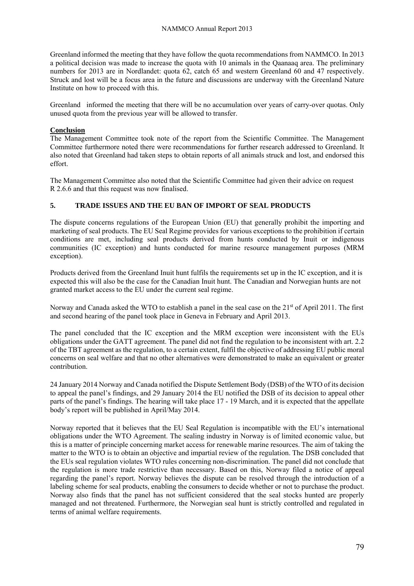Greenland informed the meeting that they have follow the quota recommendations from NAMMCO. In 2013 a political decision was made to increase the quota with 10 animals in the Qaanaaq area. The preliminary numbers for 2013 are in Nordlandet: quota 62, catch 65 and western Greenland 60 and 47 respectively. Struck and lost will be a focus area in the future and discussions are underway with the Greenland Nature Institute on how to proceed with this.

Greenland informed the meeting that there will be no accumulation over years of carry-over quotas. Only unused quota from the previous year will be allowed to transfer.

### **Conclusion**

The Management Committee took note of the report from the Scientific Committee. The Management Committee furthermore noted there were recommendations for further research addressed to Greenland. It also noted that Greenland had taken steps to obtain reports of all animals struck and lost, and endorsed this effort.

The Management Committee also noted that the Scientific Committee had given their advice on request R 2.6.6 and that this request was now finalised.

### **5. TRADE ISSUES AND THE EU BAN OF IMPORT OF SEAL PRODUCTS**

The dispute concerns regulations of the European Union (EU) that generally prohibit the importing and marketing of seal products. The EU Seal Regime provides for various exceptions to the prohibition if certain conditions are met, including seal products derived from hunts conducted by Inuit or indigenous communities (IC exception) and hunts conducted for marine resource management purposes (MRM exception).

Products derived from the Greenland Inuit hunt fulfils the requirements set up in the IC exception, and it is expected this will also be the case for the Canadian Inuit hunt. The Canadian and Norwegian hunts are not granted market access to the EU under the current seal regime.

Norway and Canada asked the WTO to establish a panel in the seal case on the  $21<sup>st</sup>$  of April 2011. The first and second hearing of the panel took place in Geneva in February and April 2013.

The panel concluded that the IC exception and the MRM exception were inconsistent with the EUs obligations under the GATT agreement. The panel did not find the regulation to be inconsistent with art. 2.2 of the TBT agreement as the regulation, to a certain extent, fulfil the objective of addressing EU public moral concerns on seal welfare and that no other alternatives were demonstrated to make an equivalent or greater contribution.

24 January 2014 Norway and Canada notified the Dispute Settlement Body (DSB) of the WTO of its decision to appeal the panel's findings, and 29 January 2014 the EU notified the DSB of its decision to appeal other parts of the panel's findings. The hearing will take place 17 - 19 March, and it is expected that the appellate body's report will be published in April/May 2014.

Norway reported that it believes that the EU Seal Regulation is incompatible with the EU's international obligations under the WTO Agreement. The sealing industry in Norway is of limited economic value, but this is a matter of principle concerning market access for renewable marine resources. The aim of taking the matter to the WTO is to obtain an objective and impartial review of the regulation. The DSB concluded that the EUs seal regulation violates WTO rules concerning non-discrimination. The panel did not conclude that the regulation is more trade restrictive than necessary. Based on this, Norway filed a notice of appeal regarding the panel's report. Norway believes the dispute can be resolved through the introduction of a labeling scheme for seal products, enabling the consumers to decide whether or not to purchase the product. Norway also finds that the panel has not sufficient considered that the seal stocks hunted are properly managed and not threatened. Furthermore, the Norwegian seal hunt is strictly controlled and regulated in terms of animal welfare requirements.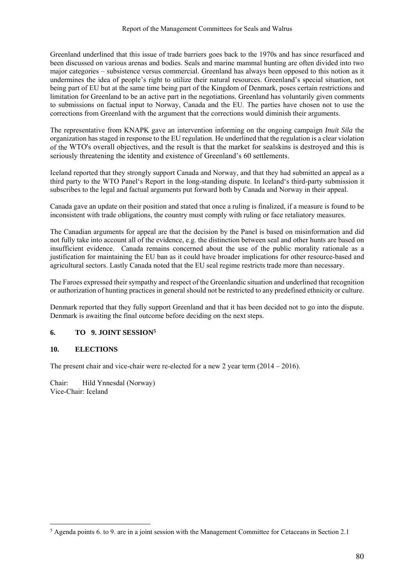Greenland underlined that this issue of trade barriers goes back to the 1970s and has since resurfaced and been discussed on various arenas and bodies. Seals and marine mammal hunting are often divided into two major categories – subsistence versus commercial. Greenland has always been opposed to this notion as it undermines the idea of people's right to utilize their natural resources. Greenland's special situation, not being part of EU but at the same time being part of the Kingdom of Denmark, poses certain restrictions and limitation for Greenland to be an active part in the negotiations. Greenland has voluntarily given comments to submissions on factual input to Norway, Canada and the EU. The parties have chosen not to use the corrections from Greenland with the argument that the corrections would diminish their arguments.

The representative from KNAPK gave an intervention informing on the ongoing campaign *Inuit Sila* the organization has staged in response to the EU regulation. He underlined that the regulation is a clear violation of the WTO's overall objectives, and the result is that the market for sealskins is destroyed and this is seriously threatening the identity and existence of Greenland's 60 settlements.

Iceland reported that they strongly support Canada and Norway, and that they had submitted an appeal as a third party to the WTO Panel's Report in the long-standing dispute. In Iceland's third-party submission it subscribes to the legal and factual arguments put forward both by Canada and Norway in their appeal.

Canada gave an update on their position and stated that once a ruling is finalized, if a measure is found to be inconsistent with trade obligations, the country must comply with ruling or face retaliatory measures.

The Canadian arguments for appeal are that the decision by the Panel is based on misinformation and did not fully take into account all of the evidence, e.g. the distinction between seal and other hunts are based on insufficient evidence. Canada remains concerned about the use of the public morality rationale as a justification for maintaining the EU ban as it could have broader implications for other resource-based and agricultural sectors. Lastly Canada noted that the EU seal regime restricts trade more than necessary.

The Faroes expressed their sympathy and respect of the Greenlandic situation and underlined that recognition or authorization of hunting practices in general should not be restricted to any predefined ethnicity or culture.

Denmark reported that they fully support Greenland and that it has been decided not to go into the dispute. Denmark is awaiting the final outcome before deciding on the next steps.

### **6. TO 9. JOINT SESSION5**

### **10. ELECTIONS**

 $\overline{a}$ 

The present chair and vice-chair were re-elected for a new 2 year term (2014 – 2016).

Chair: Hild Ynnesdal (Norway) Vice-Chair: Iceland

<sup>&</sup>lt;sup>5</sup> Agenda points 6. to 9. are in a joint session with the Management Committee for Cetaceans in Section 2.1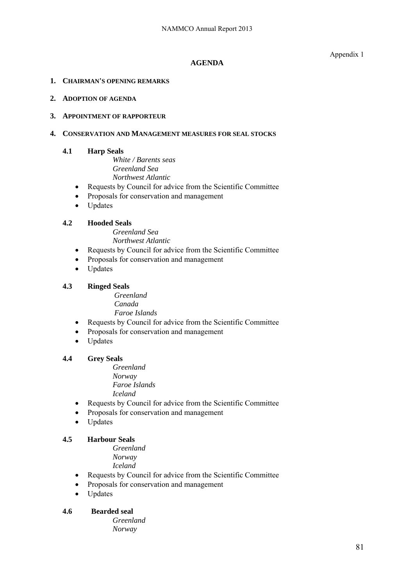Appendix 1

# **AGENDA**

# **1. CHAIRMAN'S OPENING REMARKS**

# **2. ADOPTION OF AGENDA**

# **3. APPOINTMENT OF RAPPORTEUR**

# **4. CONSERVATION AND MANAGEMENT MEASURES FOR SEAL STOCKS**

# **4.1 Harp Seals**

*White / Barents seas Greenland Sea Northwest Atlantic* 

- Requests by Council for advice from the Scientific Committee
- Proposals for conservation and management
- Updates

# **4.2 Hooded Seals**

*Greenland Sea Northwest Atlantic* 

- Requests by Council for advice from the Scientific Committee
- Proposals for conservation and management
- Updates

# **4.3 Ringed Seals**

 *Greenland Canada Faroe Islands* 

- Requests by Council for advice from the Scientific Committee
- Proposals for conservation and management
- Updates

### **4.4 Grey Seals**

*Greenland Norway Faroe Islands Iceland* 

- Requests by Council for advice from the Scientific Committee
- Proposals for conservation and management
- Updates

# **4.5 Harbour Seals**

*Greenland Norway* 

*Iceland* 

- Requests by Council for advice from the Scientific Committee
- Proposals for conservation and management
- Updates

# **4.6 Bearded seal**

*Greenland Norway*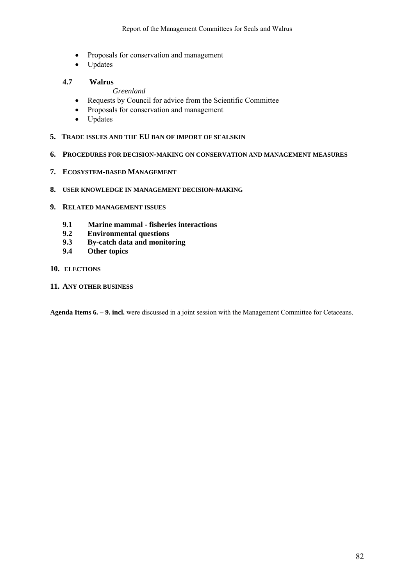- Proposals for conservation and management
- Updates

# **4.7 Walrus**

*Greenland* 

- Requests by Council for advice from the Scientific Committee
- Proposals for conservation and management
- Updates
- **5. TRADE ISSUES AND THE EU BAN OF IMPORT OF SEALSKIN**
- **6. PROCEDURES FOR DECISION-MAKING ON CONSERVATION AND MANAGEMENT MEASURES**
- **7. ECOSYSTEM-BASED MANAGEMENT**
- **8. USER KNOWLEDGE IN MANAGEMENT DECISION-MAKING**
- **9. RELATED MANAGEMENT ISSUES**
	- **9.1 Marine mammal fisheries interactions**
	- **9.2 Environmental questions**
	- **9.3 By-catch data and monitoring**
	- **9.4 Other topics**

#### **10. ELECTIONS**

**11. ANY OTHER BUSINESS**

**Agenda Items 6. – 9. incl.** were discussed in a joint session with the Management Committee for Cetaceans.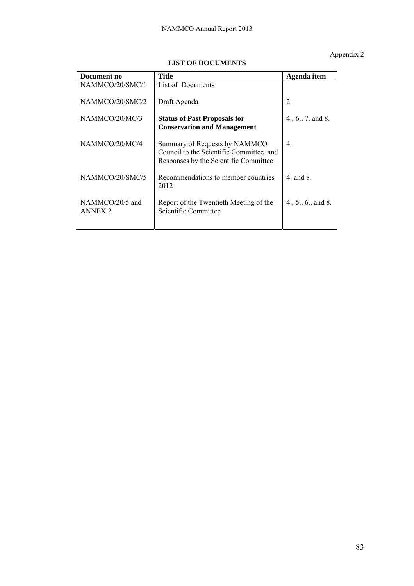# Appendix 2

| Document no                       | Title                                                                                                              | Agenda item         |
|-----------------------------------|--------------------------------------------------------------------------------------------------------------------|---------------------|
| NAMMCO/20/SMC/1                   | List of Documents                                                                                                  |                     |
| NAMMCO/20/SMC/2                   | Draft Agenda                                                                                                       | 2.                  |
| NAMMCO/20/MC/3                    | <b>Status of Past Proposals for</b><br><b>Conservation and Management</b>                                          | $4., 6., 7.$ and 8. |
| NAMMCO/20/MC/4                    | Summary of Requests by NAMMCO<br>Council to the Scientific Committee, and<br>Responses by the Scientific Committee | $\overline{4}$ .    |
| NAMMCO/20/SMC/5                   | Recommendations to member countries<br>2012                                                                        | 4 and $8$           |
| NAMMCO/20/5 and<br><b>ANNEX 2</b> | Report of the Twentieth Meeting of the<br>Scientific Committee                                                     | 4., 5., 6., and 8.  |

# **LIST OF DOCUMENTS**